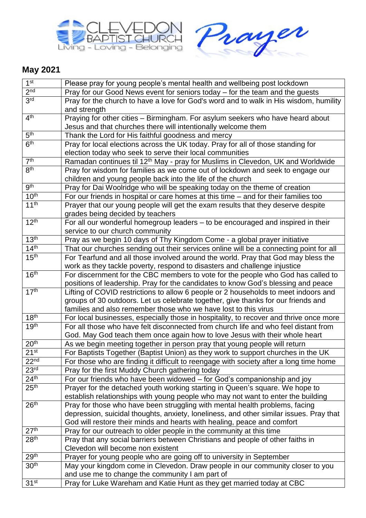



## **May 2021**

| 1 <sup>st</sup>  | Please pray for young people's mental health and wellbeing post lockdown                                                                                                    |
|------------------|-----------------------------------------------------------------------------------------------------------------------------------------------------------------------------|
| 2 <sub>nd</sub>  | Pray for our Good News event for seniors today - for the team and the guests                                                                                                |
| 3 <sup>rd</sup>  | Pray for the church to have a love for God's word and to walk in His wisdom, humility                                                                                       |
|                  | and strength                                                                                                                                                                |
| 4 <sup>th</sup>  | Praying for other cities - Birmingham. For asylum seekers who have heard about                                                                                              |
|                  | Jesus and that churches there will intentionally welcome them                                                                                                               |
| 5 <sup>th</sup>  | Thank the Lord for His faithful goodness and mercy                                                                                                                          |
| 6 <sup>th</sup>  | Pray for local elections across the UK today. Pray for all of those standing for                                                                                            |
|                  | election today who seek to serve their local communities                                                                                                                    |
| 7 <sup>th</sup>  | Ramadan continues til 12 <sup>th</sup> May - pray for Muslims in Clevedon, UK and Worldwide                                                                                 |
| 8 <sup>th</sup>  | Pray for wisdom for families as we come out of lockdown and seek to engage our                                                                                              |
|                  | children and young people back into the life of the church                                                                                                                  |
| 9 <sup>th</sup>  | Pray for Dai Woolridge who will be speaking today on the theme of creation                                                                                                  |
| 10 <sup>th</sup> | For our friends in hospital or care homes at this time $-$ and for their families too                                                                                       |
| 11 <sup>th</sup> | Prayer that our young people will get the exam results that they deserve despite                                                                                            |
| 12 <sup>th</sup> | grades being decided by teachers                                                                                                                                            |
|                  | For all our wonderful homegroup leaders - to be encouraged and inspired in their                                                                                            |
| 13 <sup>th</sup> | service to our church community                                                                                                                                             |
| 14 <sup>th</sup> | Pray as we begin 10 days of Thy Kingdom Come - a global prayer initiative                                                                                                   |
| 15 <sup>th</sup> | That our churches sending out their services online will be a connecting point for all<br>For Tearfund and all those involved around the world. Pray that God may bless the |
|                  | work as they tackle poverty, respond to disasters and challenge injustice                                                                                                   |
| 16 <sup>th</sup> | For discernment for the CBC members to vote for the people who God has called to                                                                                            |
|                  | positions of leadership. Pray for the candidates to know God's blessing and peace                                                                                           |
| 17 <sup>th</sup> | Lifting of COVID restrictions to allow 6 people or 2 households to meet indoors and                                                                                         |
|                  | groups of 30 outdoors. Let us celebrate together, give thanks for our friends and                                                                                           |
|                  | families and also remember those who we have lost to this virus                                                                                                             |
| 18 <sup>th</sup> | For local businesses, especially those in hospitality, to recover and thrive once more                                                                                      |
| 19 <sup>th</sup> | For all those who have felt disconnected from church life and who feel distant from                                                                                         |
|                  | God. May God teach them once again how to love Jesus with their whole heart                                                                                                 |
| 20 <sup>th</sup> | As we begin meeting together in person pray that young people will return                                                                                                   |
| 21 <sup>st</sup> | For Baptists Together (Baptist Union) as they work to support churches in the UK                                                                                            |
| 22 <sup>nd</sup> | For those who are finding it difficult to reengage with society after a long time home                                                                                      |
| 23 <sup>rd</sup> | Pray for the first Muddy Church gathering today                                                                                                                             |
| 24 <sup>th</sup> | For our friends who have been widowed – for God's companionship and joy                                                                                                     |
| 25 <sup>th</sup> | Prayer for the detached youth working starting in Queen's square. We hope to                                                                                                |
|                  | establish relationships with young people who may not want to enter the building                                                                                            |
| 26 <sup>th</sup> | Pray for those who have been struggling with mental health problems, facing                                                                                                 |
|                  | depression, suicidal thoughts, anxiety, loneliness, and other similar issues. Pray that                                                                                     |
|                  | God will restore their minds and hearts with healing, peace and comfort                                                                                                     |
| 27 <sup>th</sup> | Pray for our outreach to older people in the community at this time                                                                                                         |
| 28 <sup>th</sup> | Pray that any social barriers between Christians and people of other faiths in                                                                                              |
| 29 <sup>th</sup> | Clevedon will become non existent                                                                                                                                           |
| 30 <sup>th</sup> | Prayer for young people who are going off to university in September                                                                                                        |
|                  | May your kingdom come in Clevedon. Draw people in our community closer to you                                                                                               |
| 31 <sup>st</sup> | and use me to change the community I am part of                                                                                                                             |
|                  | Pray for Luke Wareham and Katie Hunt as they get married today at CBC                                                                                                       |